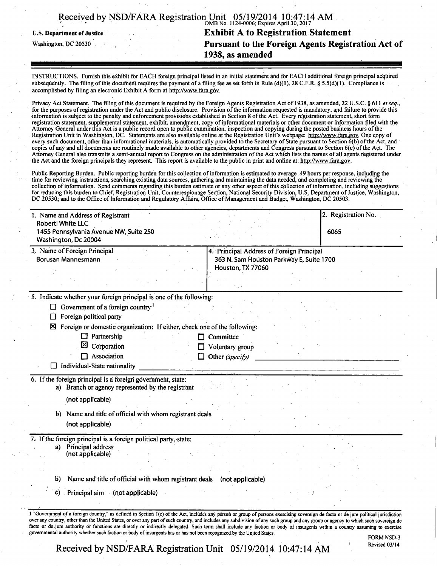|  | Received by NSD/FARA Registration Unit 05/19/2014 10:47:14 AM |                                           |  |
|--|---------------------------------------------------------------|-------------------------------------------|--|
|  |                                                               | OMB No. 1124-0006; Expires April 30, 2017 |  |

U.S. Department of Justice

Washington, DC 20530

**Exhibit A to Registration Statement Pursuant to the Foreign Agents Registration Act of 1938, as amended** 

*INSTRUCTIONS. Furnish this exhibit for EACH foreign principal listed in an initial statement and for EACH additional foreign principal acquired subsequently. The filing of this document requires the payment of a filing fee as set forth in Rule (d)( 1), 28 C.F.R. § 5.5(d)( 1). Compliance is accomplished by filing an electronic Exhibit A form at http://www.fara.gov.* 

*Privacy Act Statement. The filing of this document is required by the Foreign Agents Registration Act of 1938, as amended, 22 U.S.C. § 611 et seq., for the purposes of registration under the Act and public disclosure. Provision of the information requested is mandatory, and failure to provide this information is subject to the penalty and enforcement provisions established in Section 8 of the Act. Every registration statement, short form registration statement, supplemental statement, exhibit, amendment, copy of informational materials or other document or information filed with the Attorney General under this Act is a public record open to public examination, inspection and copying during the posted business hours ofthe Registration Unit in Washington, DC. Statements are also available online at the Registration Unit's webpage: http://www.fara.gov. One copy of every such document, other than informational materials, is automatically provided to the Secretary of State pursuant to Section 6(b) ofthe Act, and copies of any and all documents are routinely made available to other agencies, departments and Congress pursuant to Section 6(c) of the Act The*  Attorney General also transmits a semi-annual report to Congress on the administration of the Act which lists the names of all agents registered under the Act and the foreign principals they represent. This report is available to the public in print and online at: http://www.fara.gov.

Public Reporting Burden. Public reporting burden for this collection of information is estimated to average .49 hours per response, including the time for reviewing instructions, searching existing data sources, gathering and maintaining the data needed, and completing and reviewing the collection of information. Send comments regarding this burden estimate or any other aspect of this collection of information, including suggestions for reducing this burden to Chief, Registration Unit, Counterespionage Section, National Security Division, U.S. Department of Justice, Washington, DC 20530; and to the Office of Information and Regulatory Affairs, Office of Management and Budget, Washington, DC 20503.

|                                                                                                                                                  |                                                                                                            | 2. Registration No. |
|--------------------------------------------------------------------------------------------------------------------------------------------------|------------------------------------------------------------------------------------------------------------|---------------------|
| Roberti White LLC<br>1455 Pennsylvania Avenue NW, Suite 250<br>Washington, Dc 20004                                                              |                                                                                                            | 6065                |
| 3. Name of Foreign Principal<br>Borusan Mannesmann                                                                                               | 4. Principal Address of Foreign Principal<br>363 N. Sam Houston Parkway E, Suite 1700<br>Houston, TX 77060 |                     |
|                                                                                                                                                  |                                                                                                            |                     |
| 5. Indicate whether your foreign principal is one of the following:                                                                              |                                                                                                            |                     |
| Government of a foreign country <sup>1</sup><br>⊔                                                                                                |                                                                                                            |                     |
| Foreign political party<br>□                                                                                                                     |                                                                                                            |                     |
| Foreign or domestic organization: If either, check one of the following:<br>⊠                                                                    |                                                                                                            |                     |
| Partnership<br>Corporation                                                                                                                       | Committee                                                                                                  |                     |
| Association                                                                                                                                      | Voluntary group<br>$\Box$ Other (specify)                                                                  |                     |
| $\Box$ Individual-State nationality                                                                                                              |                                                                                                            |                     |
| 6. If the foreign principal is a foreign government, state:<br>a) Branch or agency represented by the registrant                                 |                                                                                                            |                     |
| (not applicable)                                                                                                                                 |                                                                                                            |                     |
| b) Name and title of official with whom registrant deals<br>(not applicable)                                                                     |                                                                                                            |                     |
|                                                                                                                                                  |                                                                                                            |                     |
| a) Principal address<br>(not applicable)                                                                                                         |                                                                                                            |                     |
|                                                                                                                                                  |                                                                                                            |                     |
| 7. If the foreign principal is a foreign political party, state:<br>Name and title of official with whom registrant deals (not applicable)<br>b) |                                                                                                            |                     |

Received by NSD/FARA Registration Unit 05/19/2014 10:47:14 AM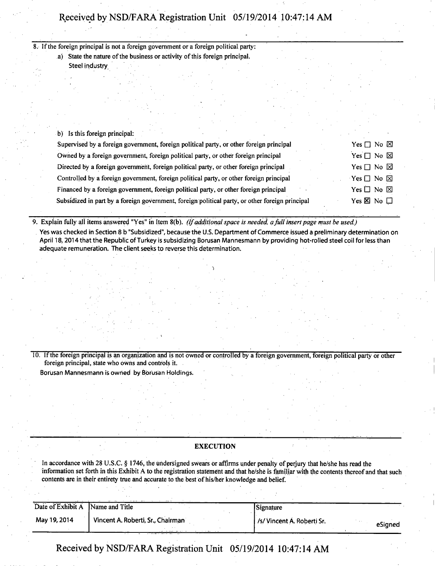8. If the foreign principal is not a foreign government or a foreign political party : a) State the nature of the business or activity of this foreign principal.

Steel industry

|  |  |  | b) Is this foreign principal: |
|--|--|--|-------------------------------|
|  |  |  |                               |

| Supervised by a foreign government, foreign political party, or other foreign principal         | Yes $\Box$ No $\boxtimes$  |
|-------------------------------------------------------------------------------------------------|----------------------------|
| Owned by a foreign government, foreign political party, or other foreign principal              | Yes $\Box$ No $\boxtimes$  |
| Directed by a foreign government, foreign political party, or other foreign principal           | Yes $\Box$ No $\boxtimes$  |
| Controlled by a foreign government, foreign political party, or other foreign principal         | $Yes \Box No \boxtimes$    |
| Financed by a foreign government, foreign political party, or other foreign principal           | Yes $\square$ No $\square$ |
| Subsidized in part by a foreign government, foreign political party, or other foreign principal | Yes $\times$ No $\Box$     |

*9. Explain fully all items answered "Yes" in Item 8(b). (If additional space is needed, a full insert page must be used.)* 

Yes was checked in Section 8 b "Subsidized", because the U.S. Department of Commerce issued a preliminary determination on April 18,2014 that the Republic of Turkey is subsidizing Borusan Mannesmann by providing hot-rolled steel coil for less than adequate remuneration. The client seeks to reverse this determination.

10. If the foreign principal is an organization and is not owned or controlled by a foreign government, foreign political party or other foreign principal, state who owns and controls it.

Borusan Mannesmann is owned by Borusan Holdings.

## **EXECUTION**

In accordance with 28 U.S.C. § 1746, the undersigned swears or affirms under penalty of perjury that he/she has read the information set forth in this Exhibit A to the registration statement and that he/she is familiar with the contents thereof and that such contents are in their entirety true and accurate to the best of his/her knowledge and belief.

|                                  | $m_{\rm B}$ , $m_{\rm B}$         |                                      |
|----------------------------------|-----------------------------------|--------------------------------------|
| Date of Exhibit A Name and Title |                                   | Signature                            |
| May 19, 2014                     | Vincent A. Roberti, Sr., Chairman | /s/Vincent A. Roberti Sr.<br>eSianed |

**Received by NSD/FARA Registration Unit 05/19/2014 10:47:14 AM**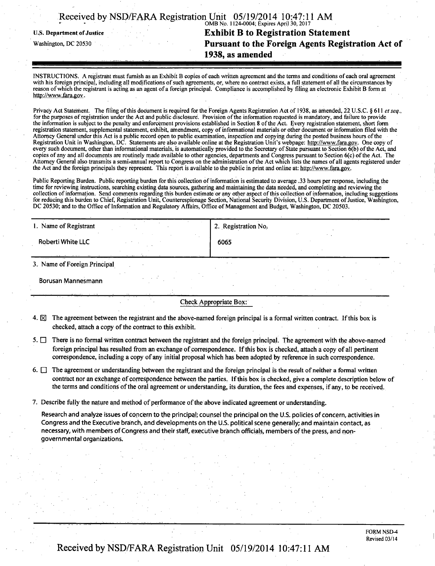## • • OMB No. 1124-0004; Expires April 30,2017 **u.s. Department of Justice Exhibit B to Registration Statement Pursuant to the Foreign Agents Registration Act of 1938, as amended**

INSTRUCTIONS. A registrant must furnish as an Exhibit B copies of each written agreement and the terms and conditions of each oral agreement with his foreign principal, including all modifications of such agreements, or, where no contract exists, a ful l statement of all the circumstances by reason of which the registrant is acting as an agent of a foreign principal. Compliance is accomplished by filing an electronic Exhibit B form at http://www.fara.gov.

Privacy Act Statement. The filing of this document is required for the Foreign Agents Registration Act of 1938, as amended, 22 U.S.C. § 611 et seq., for the purposes of registration under the Act and public disclosure. Provision of the information requested is mandatory, and failure to provide the information is subject to the penalty and enforcement provisions established in Section 8 of the Act. Every registration statement, short form registration statement, supplemental statement, exhibit, amendment, copy of mformational materials or other document or information filed with the Attorney General under this Act is a public record open to public examination, inspection and copying during the posted business hours ofthe Registration Unit in Washington, DC. Statements are also available online at the Registration Unit's webpage: http://www.fara.gov. One copy of every such document, other than informational materials, is automatically provided to the Secretary of State pursuant to Section 6(b) of the Act, and copies of any and al l documents are routinely made available to other agencies, departments and Congress pursuant to Section 6(c) of the Act. The Attorney General also transmits a semiannual report to Congress on the administration of the Act which lists the names of all agents registered under the Act and the foreign principals they represent. This report is available to the public in print and online at: http://www.fara.gov.

Public Reporting Burden. Public reporting burden for this collection of information is estimated to average .33 hours per response, including the time for reviewing instructions, searching existing data sources, gathering and maintaining the data needed, and completing and reviewing the collection of information. Send comments regarding this burden estimate or any other aspect of this collection of information, including suggestions for reducing this burden to Chief, Registration Unit, Counterespionage Section, National Security Division, U.S. Department of Justice, Washington, DC 20530; and to the Office of Information and Regulatory Affairs, Office of Management and Budget, Washington, DC 20503.

| 1. Name of Registrant        | 2. Registration No. |  |
|------------------------------|---------------------|--|
| Roberti White LLC            | 6065                |  |
|                              |                     |  |
| 3. Name of Foreign Principal |                     |  |

Borusan Mannesmann

Check Appropriate Box:

- 4.  $\boxtimes$  The agreement between the registrant and the above-named foreign principal is a formal written contract. If this box is checked, attach a copy of the contract to this exhibit.
- 5.  $\Box$  There is no formal written contract between the registrant and the foreign principal. The agreement with the above-named foreign principal has resulted from an exchange of correspondence. If this box is checked, attach a copy of all pertinent correspondence, including a copy of any initial proposal which has been adopted by reference in such correspondence.
- 6.  $\Box$  The agreement or understanding between the registrant and the foreign principal is the result of neither a formal written contract nor an exchange of correspondence between the parties. If this box is checked, give a complete description below of the terms and conditions of the orai agreement or understanding, its duration, the fees and expenses, if any, to be received.
- 7. Describe fully the nature and method of performance of the above indicated agreement or understanding.

Research and analyze issues of concern to the principal; counsel the principal on the U.S. policies of concern, activities in Congress and the Executive branch, and developments on the U.S. political scene generally; and maintain contact, as necessary, with members of Congress and their staff, executive branch officials, members ofthe press, and nongovernmental organizations.

> FORM NSD-4 Revised 03/14

# Received by NSD/FARA Registration Unit 05/19/2014 10:47:11 AM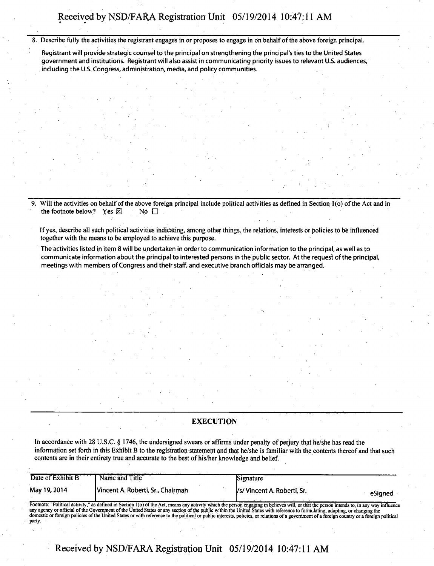8. Describe fully the activities the registrant engages in or proposes to engage in on behalf of the above foreign principal.

Registrant will provide strategic counsel to the principal on strengthening the principal's ties to the United States government and institutions. Registrant will also assist in communicating priority issues to relevant U.S. audiences, including the U.S. Congress, administration, media, and policy communities.

9. Will the activities on behalf of the above foreign principal include political activities as defined in Section 1(o) of the Act and in the footnote below? Yes  $\boxtimes$  No  $\Box$ the footnote below? Yes  $\boxtimes$ 

If yes, describe all such political activities indicating, among other things, the relations, interests or policies to be influenced together with the means to be employed to achieve this purpose.

The activities listed in item 8 will be undertaken in order to communication information to the principal, as well as to communicate information about the principal to interested persons in the public sector. At the request of the principal, meetings with members of Congress and their staff, and executive branch officials may be arranged.

## **EXECUTION**

In accordance with 28 U.S.C. § 1746, the undersigned swears or affirms under penalty of perjury that he/she has read the information set forth in this Exhibit B to the registration statement and that he/she is familiar with the contents thereof and that such contents are in their entirety true and accurate to the best of his/her knowledge and belief.

| Date of Exhibit B | Name and Title                                                                                                                                                                                                                                                                                                                                                                                                                                                                                                                                                            | Signature                   |         |
|-------------------|---------------------------------------------------------------------------------------------------------------------------------------------------------------------------------------------------------------------------------------------------------------------------------------------------------------------------------------------------------------------------------------------------------------------------------------------------------------------------------------------------------------------------------------------------------------------------|-----------------------------|---------|
| May 19, 2014      | Vincent A. Roberti, Sr., Chairman                                                                                                                                                                                                                                                                                                                                                                                                                                                                                                                                         | /s/ Vincent A. Roberti, Sr. | eSianed |
| party.            | Footnote: "Political activity," as defined in Section 1(o) of the Act, means any activity which the person engaging in believes will, or that the person intends to, in any way influence<br>any agency or official of the Government of the United States or any section of the public within the United States with reference to formulating, adopting, or changing the<br>domestic or foreign policies of the United States or with reference to the political or public interests, policies, or relations of a government of a foreign country or a foreign political |                             |         |

**Received by NSD/FARA Registration Unit 05/19/2014 10:47:11 AM**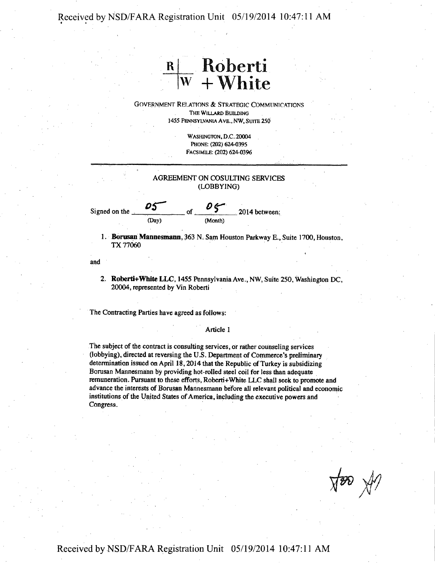# **<sup>R</sup>Roberti w + White**

GOVERNMENT RELATIONS & STRATEGIC COMMUNICATIONS THE WILLARD BUILDING 1455 PENNSYLVANIA AVE., NW, SUITE 250

> WASHINGTON, D.C. 20004 PHONE: (202) 624-0395 FACSIMILE: (202) 624-0396

## AGREEMENT ON COSULTING SERVICES (LOBBYING)

Signed on the *OS-*(Day)

 $\overline{05}$  2014 between:

1. Borusan Mannesmann, 363 N, Sam Houston Parkway E., Suite 1700, Houston. TX 77060

and

2. Roberti+White LLC, 1455 Pennsylvania Ave., NW, Suite 250, Washington DC, 20004, represented by Vin Roberti

The Contracting Parties have agreed as follows:

#### Article 1

The subject of the contract is consulting services, or rather counseling services (lobbying), directed at reversing the U .S. Department of Commerce's preliminary determination issued on April 18,2014 that the Republic of Turkey is subsidizing Borusan Mannesmann by providing hot-rolled steel coil for less than adequate remuneration. Pursuant to these efforts, Roberti+White LLC shall seek to promote and advance the interests of Borusan Mannesmann before all relevant political and economic institutions of the United States of America, including the executive powers and Congress.

 $\forall x \in \mathbb{R}$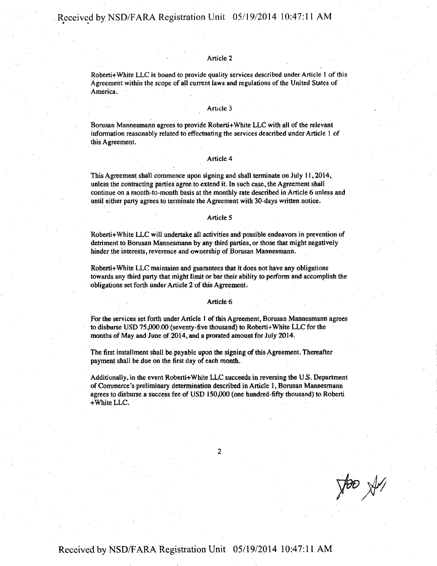#### Article 2

Roberti+White LLC is bound to provide quality services described under Article 1 of this Agreement within the scope of all current laws and regulations of the United States of America.

#### Article 3

Borusan Mannesmann agrees to provide Roberti+White LLC with all of the relevant information reasonably related to effectuating the services described under Article 1 of this Agreement.

#### Article 4

This Agreement shall commence upon signing and shall terminate on July 11,2014, unless the contracting parties agree to extend it. In such case, the Agreement shall continue on a month-to-month basis at the monthly rate described in Article 6 unless and until either party agrees to terminate the Agreement with 30-days written notice.

#### Article 5

Roberti+White LLC will undertake all activities and possible endeavors in prevention of detriment to Borusan Mannesmann by any third parties, or those that might negatively hinder the interests, reverence and ownership of Borusan Mannesmann.

Roberti+White LLC maintains and guarantees that it does not have any obligations towards any third party that might limit or bar their ability to perform and accomplish the obligations set forth under Article 2 of this Agreement.

#### Article 6

For the services set forth under Article 1 of this Agreement, Borusan Mannesmann agrees to disburse USD 75,000.00 (seventy-five thousand) to Roberti+White LLC forthe months of May and June of 2014, and a prorated amount for July 2014.

The first installment shall be payable upon the signing of this Agreement. Thereafter payment shall be due on the first day of each month.

Additionally, in the event Roberti+White LLC succeeds in reversing the US. Department of Commerce's preliminary determination described in Article 1, Borusan Mannesmann agrees to disburse a success fee of USD 150,000 (one hundred-fifty thousand) to Roberti +White LLC.

**2** 

 $\sqrt{\frac{1}{2}}$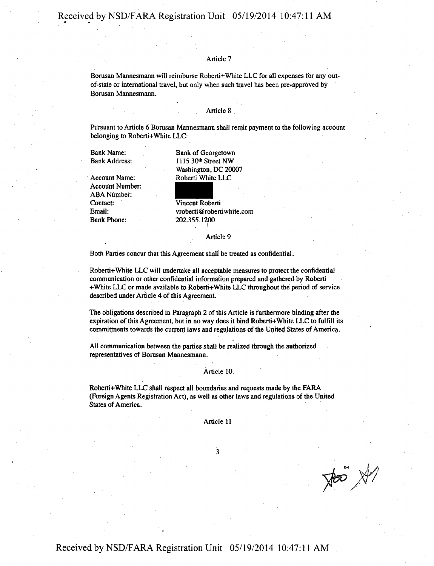## Article 7

Borusan Mannesmann will reimburse Roberti+White LLC for all expenses for any outof-state or international travel, but only when such travel has been pre-approved by Borusan Mannesmann.

#### Article 8

Pursuant to Article 6 Borusan Mannesmann shall remit payment to the following account belonging to Roberti+White LLC:

Bank Name: Bank Address:

Account Name: Account Number ABA Number: Contact: Email: Bank Phone:

Bank of Georgetown 1115 30th Street NW Washington, DC 20007 Roberti White LLC

Vincent Roberti vroberti ©robertiwhite .com 202355.1200

#### Article 9

Both Parties concur that this Agreement shall be treated as confidential.

Roberti+White LLC will undertake all acceptable measures to protect the confidential communication or other confidential information prepared and gathered by Roberti +White LLC or made available to Roberti+White LLC throughout the period of service described under Article 4 of this Agreement.

The obligations described in Paragraph 2 of this Article is furthermore binding after the expiration of this Agreement, but in no way does it bind Roberti+White LLC to fulfill its commitments towards the current laws and regulations of the United States of America.

All communication between the parties shall be realized through the authorized representatives of Borusan Mannesmann.

#### Article 10

Roberti+White LLC shall respect all boundaries and requests made by the FARA (Foreign Agents Registration Act), as Well as other laws and regulations of the United States of America.

Article 11

**3** 

 $\frac{1}{\sqrt{100}}$ 

**Received by NSD/FARA Registration Unit 05/19/2014 10:47:11AM**